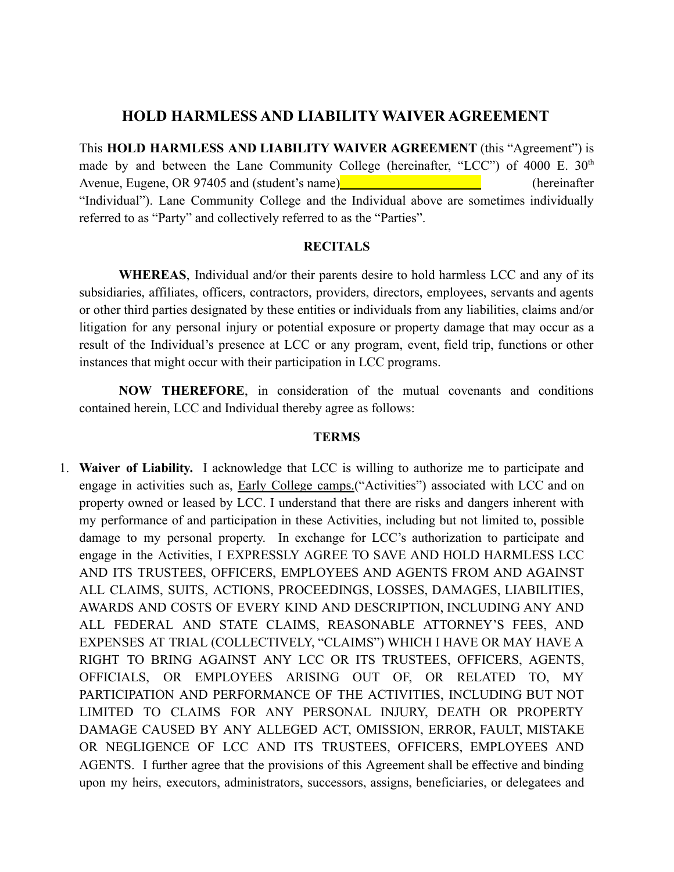## **HOLD HARMLESS AND LIABILITY WAIVER AGREEMENT**

This **HOLD HARMLESS AND LIABILITY WAIVER AGREEMENT** (this "Agreement") is made by and between the Lane Community College (hereinafter, "LCC") of 4000 E.  $30<sup>th</sup>$ Avenue, Eugene, OR 97405 and (student's name) (hereinafter (hereinafter "Individual"). Lane Community College and the Individual above are sometimes individually referred to as "Party" and collectively referred to as the "Parties".

## **RECITALS**

**WHEREAS**, Individual and/or their parents desire to hold harmless LCC and any of its subsidiaries, affiliates, officers, contractors, providers, directors, employees, servants and agents or other third parties designated by these entities or individuals from any liabilities, claims and/or litigation for any personal injury or potential exposure or property damage that may occur as a result of the Individual's presence at LCC or any program, event, field trip, functions or other instances that might occur with their participation in LCC programs.

**NOW THEREFORE**, in consideration of the mutual covenants and conditions contained herein, LCC and Individual thereby agree as follows:

## **TERMS**

1. **Waiver of Liability.** I acknowledge that LCC is willing to authorize me to participate and engage in activities such as, Early College camps.("Activities") associated with LCC and on property owned or leased by LCC. I understand that there are risks and dangers inherent with my performance of and participation in these Activities, including but not limited to, possible damage to my personal property. In exchange for LCC's authorization to participate and engage in the Activities, I EXPRESSLY AGREE TO SAVE AND HOLD HARMLESS LCC AND ITS TRUSTEES, OFFICERS, EMPLOYEES AND AGENTS FROM AND AGAINST ALL CLAIMS, SUITS, ACTIONS, PROCEEDINGS, LOSSES, DAMAGES, LIABILITIES, AWARDS AND COSTS OF EVERY KIND AND DESCRIPTION, INCLUDING ANY AND ALL FEDERAL AND STATE CLAIMS, REASONABLE ATTORNEY'S FEES, AND EXPENSES AT TRIAL (COLLECTIVELY, "CLAIMS") WHICH I HAVE OR MAY HAVE A RIGHT TO BRING AGAINST ANY LCC OR ITS TRUSTEES, OFFICERS, AGENTS, OFFICIALS, OR EMPLOYEES ARISING OUT OF, OR RELATED TO, MY PARTICIPATION AND PERFORMANCE OF THE ACTIVITIES, INCLUDING BUT NOT LIMITED TO CLAIMS FOR ANY PERSONAL INJURY, DEATH OR PROPERTY DAMAGE CAUSED BY ANY ALLEGED ACT, OMISSION, ERROR, FAULT, MISTAKE OR NEGLIGENCE OF LCC AND ITS TRUSTEES, OFFICERS, EMPLOYEES AND AGENTS. I further agree that the provisions of this Agreement shall be effective and binding upon my heirs, executors, administrators, successors, assigns, beneficiaries, or delegatees and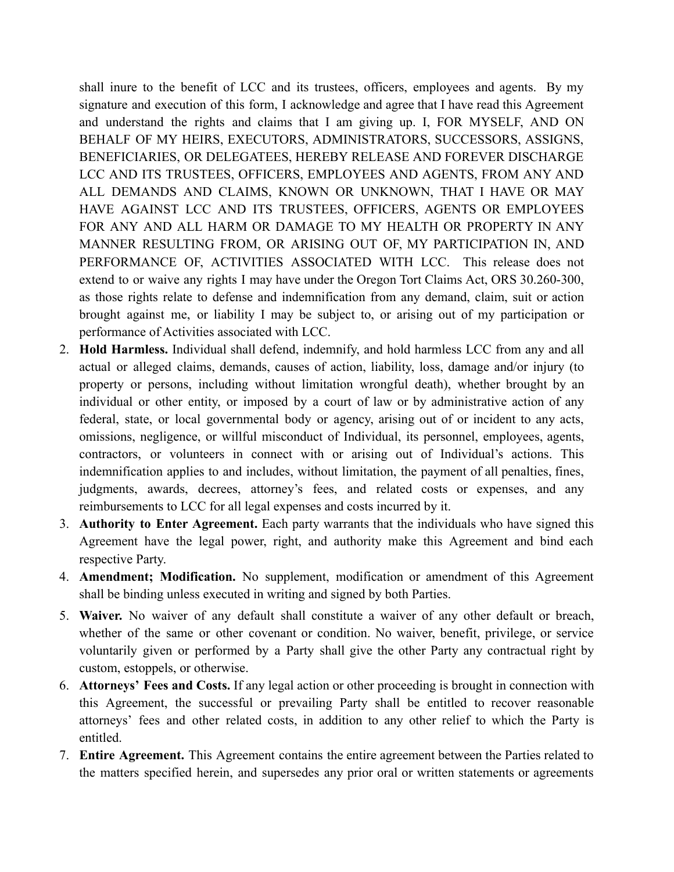shall inure to the benefit of LCC and its trustees, officers, employees and agents. By my signature and execution of this form, I acknowledge and agree that I have read this Agreement and understand the rights and claims that I am giving up. I, FOR MYSELF, AND ON BEHALF OF MY HEIRS, EXECUTORS, ADMINISTRATORS, SUCCESSORS, ASSIGNS, BENEFICIARIES, OR DELEGATEES, HEREBY RELEASE AND FOREVER DISCHARGE LCC AND ITS TRUSTEES, OFFICERS, EMPLOYEES AND AGENTS, FROM ANY AND ALL DEMANDS AND CLAIMS, KNOWN OR UNKNOWN, THAT I HAVE OR MAY HAVE AGAINST LCC AND ITS TRUSTEES, OFFICERS, AGENTS OR EMPLOYEES FOR ANY AND ALL HARM OR DAMAGE TO MY HEALTH OR PROPERTY IN ANY MANNER RESULTING FROM, OR ARISING OUT OF, MY PARTICIPATION IN, AND PERFORMANCE OF, ACTIVITIES ASSOCIATED WITH LCC. This release does not extend to or waive any rights I may have under the Oregon Tort Claims Act, ORS 30.260-300, as those rights relate to defense and indemnification from any demand, claim, suit or action brought against me, or liability I may be subject to, or arising out of my participation or performance of Activities associated with LCC.

- 2. **Hold Harmless.** Individual shall defend, indemnify, and hold harmless LCC from any and all actual or alleged claims, demands, causes of action, liability, loss, damage and/or injury (to property or persons, including without limitation wrongful death), whether brought by an individual or other entity, or imposed by a court of law or by administrative action of any federal, state, or local governmental body or agency, arising out of or incident to any acts, omissions, negligence, or willful misconduct of Individual, its personnel, employees, agents, contractors, or volunteers in connect with or arising out of Individual's actions. This indemnification applies to and includes, without limitation, the payment of all penalties, fines, judgments, awards, decrees, attorney's fees, and related costs or expenses, and any reimbursements to LCC for all legal expenses and costs incurred by it.
- 3. **Authority to Enter Agreement.** Each party warrants that the individuals who have signed this Agreement have the legal power, right, and authority make this Agreement and bind each respective Party.
- 4. **Amendment; Modification.** No supplement, modification or amendment of this Agreement shall be binding unless executed in writing and signed by both Parties.
- 5. **Waiver.** No waiver of any default shall constitute a waiver of any other default or breach, whether of the same or other covenant or condition. No waiver, benefit, privilege, or service voluntarily given or performed by a Party shall give the other Party any contractual right by custom, estoppels, or otherwise.
- 6. **Attorneys' Fees and Costs.** If any legal action or other proceeding is brought in connection with this Agreement, the successful or prevailing Party shall be entitled to recover reasonable attorneys' fees and other related costs, in addition to any other relief to which the Party is entitled.
- 7. **Entire Agreement.** This Agreement contains the entire agreement between the Parties related to the matters specified herein, and supersedes any prior oral or written statements or agreements